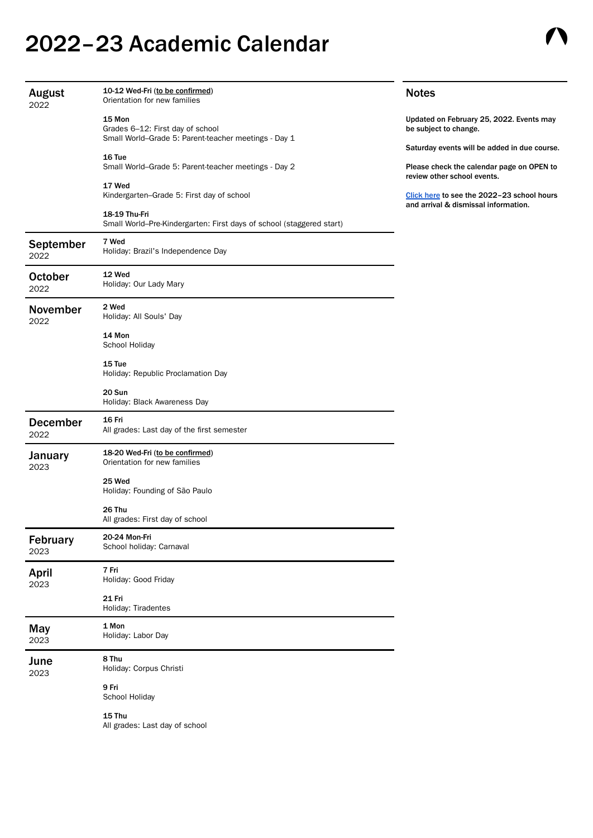## 2022–23 Academic Calendar

| <b>August</b><br>2022    | 10-12 Wed-Fri (to be confirmed)<br>Orientation for new families                                    | <b>Notes</b>                                                                                                             |
|--------------------------|----------------------------------------------------------------------------------------------------|--------------------------------------------------------------------------------------------------------------------------|
|                          | 15 Mon<br>Grades 6-12: First day of school<br>Small World-Grade 5: Parent-teacher meetings - Day 1 | Updated on February 25, 2022. Events may<br>be subject to change.                                                        |
|                          | 16 Tue<br>Small World-Grade 5: Parent-teacher meetings - Day 2                                     | Saturday events will be added in due course.<br>Please check the calendar page on OPEN to<br>review other school events. |
|                          | 17 Wed<br>Kindergarten-Grade 5: First day of school                                                | Click here to see the 2022-23 school hours<br>and arrival & dismissal information.                                       |
|                          | 18-19 Thu-Fri<br>Small World-Pre-Kindergarten: First days of school (staggered start)              |                                                                                                                          |
| <b>September</b><br>2022 | 7 Wed<br>Holiday: Brazil's Independence Day                                                        |                                                                                                                          |
| <b>October</b><br>2022   | 12 Wed<br>Holiday: Our Lady Mary                                                                   |                                                                                                                          |
| <b>November</b><br>2022  | 2 Wed<br>Holiday: All Souls' Day                                                                   |                                                                                                                          |
|                          | 14 Mon<br>School Holiday                                                                           |                                                                                                                          |
|                          | 15 Tue<br>Holiday: Republic Proclamation Day                                                       |                                                                                                                          |
|                          | 20 Sun<br>Holiday: Black Awareness Day                                                             |                                                                                                                          |
| <b>December</b><br>2022  | 16 Fri<br>All grades: Last day of the first semester                                               |                                                                                                                          |
| <b>January</b><br>2023   | 18-20 Wed-Fri (to be confirmed)<br>Orientation for new families                                    |                                                                                                                          |
|                          | 25 Wed<br>Holiday: Founding of São Paulo                                                           |                                                                                                                          |
|                          | 26 Thu<br>All grades: First day of school                                                          |                                                                                                                          |
| <b>February</b><br>2023  | 20-24 Mon-Fri<br>School holiday: Carnaval                                                          |                                                                                                                          |
| April<br>2023            | 7 Fri<br>Holiday: Good Friday                                                                      |                                                                                                                          |
|                          | <b>21 Fri</b><br>Holiday: Tiradentes                                                               |                                                                                                                          |
| May                      | 1 Mon<br>Holidovu Lohor Dov                                                                        |                                                                                                                          |

| - - - - - 1<br>2023 | Holiday: Labor Day                         |  |
|---------------------|--------------------------------------------|--|
| June<br>2023        | 8 Thu<br>Holiday: Corpus Christi           |  |
|                     | 9 Fri<br>School Holiday                    |  |
|                     | $15$ Thu<br>All grades: Last day of school |  |